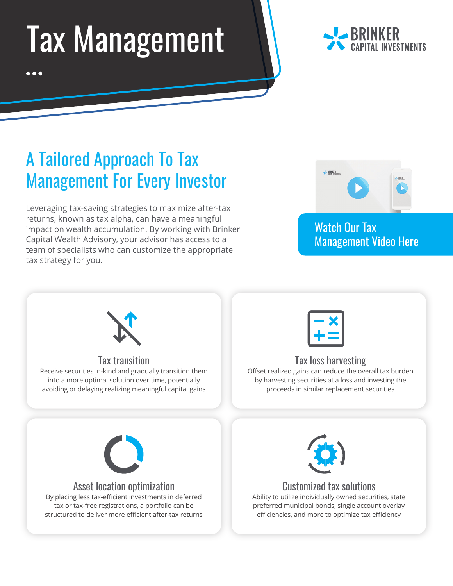## Tax Management



## A Tailored Approach To Tax Management For Every Investor

Leveraging tax-saving strategies to maximize after-tax returns, known as tax alpha, can have a meaningful impact on wealth accumulation. By working with Brinker Capital Wealth Advisory, your advisor has access to a team of specialists who can customize the appropriate tax strategy for you.



## Watch Our Tax [Management Video Here](https://brinkercapital.wistia.com/medias/ssiktdmpv2)